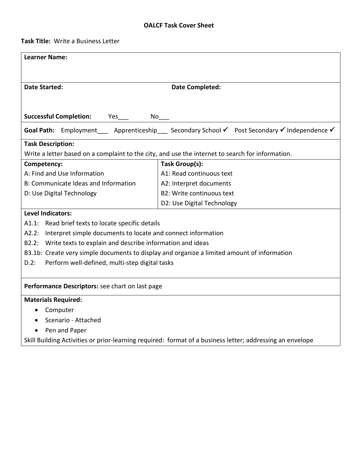**Task Title:** Write a Business Letter

| <b>Learner Name:</b>                                                  |                                                                                                           |  |  |  |  |
|-----------------------------------------------------------------------|-----------------------------------------------------------------------------------------------------------|--|--|--|--|
|                                                                       |                                                                                                           |  |  |  |  |
| <b>Date Started:</b>                                                  | <b>Date Completed:</b>                                                                                    |  |  |  |  |
|                                                                       |                                                                                                           |  |  |  |  |
| <b>Successful Completion:</b><br>$No$ <sub>__</sub><br>$Yes_{\_}$     |                                                                                                           |  |  |  |  |
|                                                                       | Goal Path: Employment Apprenticeship Secondary School v Post Secondary v Independence v                   |  |  |  |  |
|                                                                       |                                                                                                           |  |  |  |  |
| <b>Task Description:</b>                                              |                                                                                                           |  |  |  |  |
|                                                                       | Write a letter based on a complaint to the city, and use the internet to search for information.          |  |  |  |  |
| Competency:                                                           | Task Group(s):                                                                                            |  |  |  |  |
| A: Find and Use Information                                           | A1: Read continuous text                                                                                  |  |  |  |  |
| B: Communicate Ideas and Information                                  | A2: Interpret documents                                                                                   |  |  |  |  |
| D: Use Digital Technology                                             | <b>B2: Write continuous text</b>                                                                          |  |  |  |  |
|                                                                       | D2: Use Digital Technology                                                                                |  |  |  |  |
| <b>Level Indicators:</b>                                              |                                                                                                           |  |  |  |  |
| A1.1: Read brief texts to locate specific details                     |                                                                                                           |  |  |  |  |
| Interpret simple documents to locate and connect information<br>A2.2: |                                                                                                           |  |  |  |  |
| B2.2: Write texts to explain and describe information and ideas       |                                                                                                           |  |  |  |  |
|                                                                       | B3.1b: Create very simple documents to display and organize a limited amount of information               |  |  |  |  |
| Perform well-defined, multi-step digital tasks<br>$D.2$ :             |                                                                                                           |  |  |  |  |
|                                                                       |                                                                                                           |  |  |  |  |
| Performance Descriptors: see chart on last page                       |                                                                                                           |  |  |  |  |
| <b>Materials Required:</b>                                            |                                                                                                           |  |  |  |  |
| Computer<br>$\bullet$                                                 |                                                                                                           |  |  |  |  |
| Scenario - Attached                                                   |                                                                                                           |  |  |  |  |
| Pen and Paper                                                         |                                                                                                           |  |  |  |  |
|                                                                       | Skill Building Activities or prior-learning required: format of a business letter; addressing an envelope |  |  |  |  |
|                                                                       |                                                                                                           |  |  |  |  |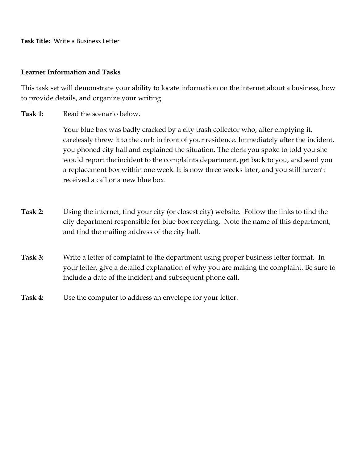**Task Title:** Write a Business Letter

## **Learner Information and Tasks**

This task set will demonstrate your ability to locate information on the internet about a business, how to provide details, and organize your writing.

Task 1: Read the scenario below.

Your blue box was badly cracked by a city trash collector who, after emptying it, carelessly threw it to the curb in front of your residence. Immediately after the incident, you phoned city hall and explained the situation. The clerk you spoke to told you she would report the incident to the complaints department, get back to you, and send you a replacement box within one week. It is now three weeks later, and you still haven't received a call or a new blue box.

- **Task 2:** Using the internet, find your city (or closest city) website. Follow the links to find the city department responsible for blue box recycling. Note the name of this department, and find the mailing address of the city hall.
- **Task 3:** Write a letter of complaint to the department using proper business letter format. In your letter, give a detailed explanation of why you are making the complaint. Be sure to include a date of the incident and subsequent phone call.
- **Task 4:** Use the computer to address an envelope for your letter.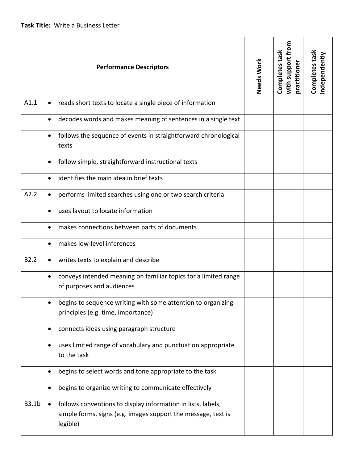| <b>Performance Descriptors</b> |                                                                                                                                                        | Needs Work | with support from<br>Completes task<br>practitioner | Completes task<br>independently |
|--------------------------------|--------------------------------------------------------------------------------------------------------------------------------------------------------|------------|-----------------------------------------------------|---------------------------------|
| A1.1                           | reads short texts to locate a single piece of information                                                                                              |            |                                                     |                                 |
|                                | decodes words and makes meaning of sentences in a single text<br>$\bullet$                                                                             |            |                                                     |                                 |
|                                | follows the sequence of events in straightforward chronological<br>$\bullet$<br>texts                                                                  |            |                                                     |                                 |
|                                | follow simple, straightforward instructional texts<br>٠                                                                                                |            |                                                     |                                 |
|                                | identifies the main idea in brief texts<br>$\bullet$                                                                                                   |            |                                                     |                                 |
| A2.2                           | performs limited searches using one or two search criteria<br>$\bullet$                                                                                |            |                                                     |                                 |
|                                | uses layout to locate information                                                                                                                      |            |                                                     |                                 |
|                                | makes connections between parts of documents<br>$\bullet$                                                                                              |            |                                                     |                                 |
|                                | makes low-level inferences<br>$\bullet$                                                                                                                |            |                                                     |                                 |
| B <sub>2.2</sub>               | writes texts to explain and describe<br>$\bullet$                                                                                                      |            |                                                     |                                 |
|                                | conveys intended meaning on familiar topics for a limited range<br>$\bullet$<br>of purposes and audiences                                              |            |                                                     |                                 |
|                                | begins to sequence writing with some attention to organizing<br>principles (e.g. time, importance)                                                     |            |                                                     |                                 |
|                                | connects ideas using paragraph structure<br>$\bullet$                                                                                                  |            |                                                     |                                 |
|                                | uses limited range of vocabulary and punctuation appropriate<br>$\bullet$<br>to the task                                                               |            |                                                     |                                 |
|                                | begins to select words and tone appropriate to the task<br>$\bullet$                                                                                   |            |                                                     |                                 |
|                                | begins to organize writing to communicate effectively<br>$\bullet$                                                                                     |            |                                                     |                                 |
| <b>B3.1b</b>                   | follows conventions to display information in lists, labels,<br>$\bullet$<br>simple forms, signs (e.g. images support the message, text is<br>legible) |            |                                                     |                                 |